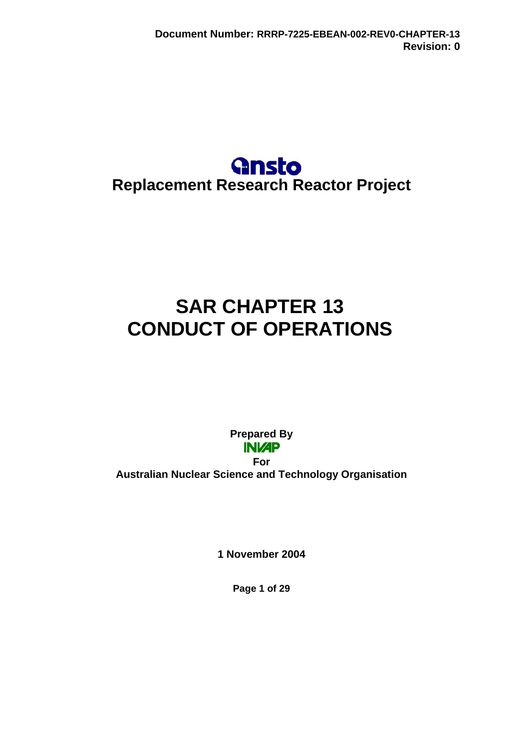# **Gnsto Replacement Research Reactor Project**

# **SAR CHAPTER 13 CONDUCT OF OPERATIONS**

**Prepared By For Australian Nuclear Science and Technology Organisation** 

**1 November 2004** 

**Page 1 of 29**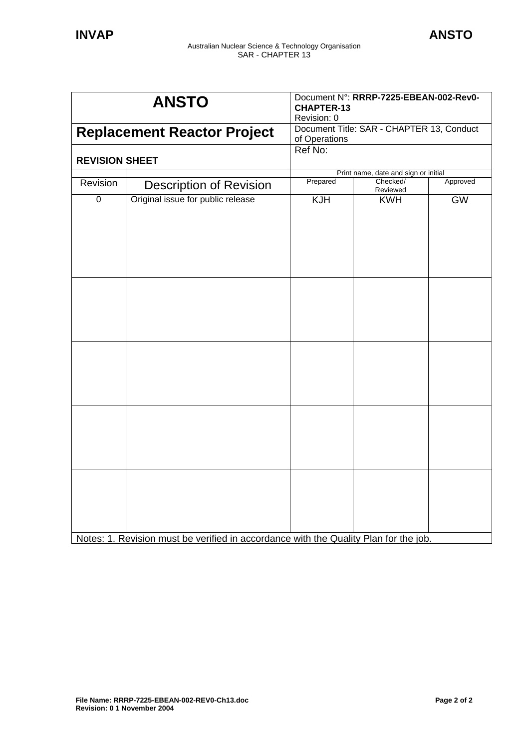| <b>ANSTO</b>                       |                                                                                     | Document N°: RRRP-7225-EBEAN-002-Rev0-<br><b>CHAPTER-13</b><br>Revision: 0 |                      |           |
|------------------------------------|-------------------------------------------------------------------------------------|----------------------------------------------------------------------------|----------------------|-----------|
| <b>Replacement Reactor Project</b> |                                                                                     | Document Title: SAR - CHAPTER 13, Conduct<br>of Operations                 |                      |           |
| <b>REVISION SHEET</b>              |                                                                                     | Ref No:                                                                    |                      |           |
|                                    |                                                                                     | Print name, date and sign or initial                                       |                      |           |
| Revision                           | <b>Description of Revision</b>                                                      | Prepared                                                                   | Checked/<br>Reviewed | Approved  |
| $\mathbf 0$                        | Original issue for public release                                                   | <b>KJH</b>                                                                 | <b>KWH</b>           | <b>GW</b> |
|                                    |                                                                                     |                                                                            |                      |           |
|                                    |                                                                                     |                                                                            |                      |           |
|                                    | Notes: 1. Povicion must be verified in accordance with the Quality Plan for the job |                                                                            |                      |           |

Notes: 1. Revision must be verified in accordance with the Quality Plan for the job.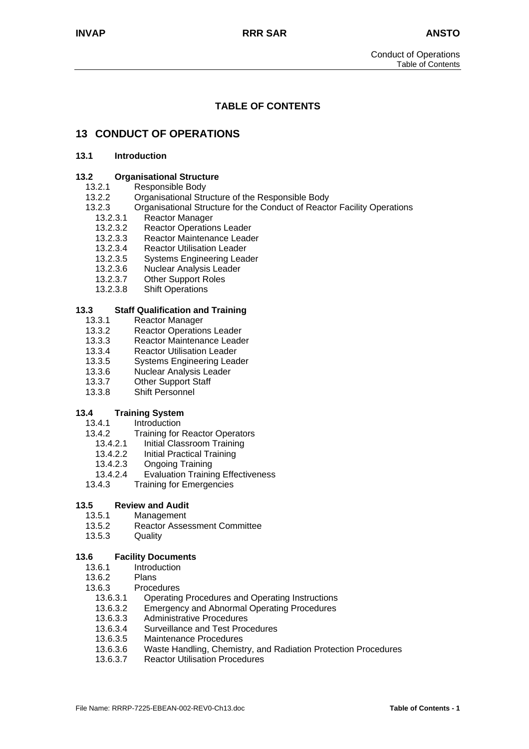# **TABLE OF CONTENTS**

# **13 CONDUCT OF OPERATIONS**

#### **13.1 Introduction**

#### **13.2 Organisational Structure**

#### 13.2.1 Responsible Body

- 13.2.2 Organisational Structure of the Responsible Body
- 13.2.3 Organisational Structure for the Conduct of Reactor Facility Operations
	- 13.2.3.1 Reactor Manager
	- 13.2.3.2 Reactor Operations Leader
	- 13.2.3.3 Reactor Maintenance Leader<br>13.2.3.4 Reactor Utilisation Leader
	- 13.2.3.4 Reactor Utilisation Leader<br>13.2.3.5 Systems Engineering Lead
	- Systems Engineering Leader
	-
	- 13.2.3.6 Nuclear Analysis Leader<br>13.2.3.7 Other Support Roles **Other Support Roles**
	- 13.2.3.8 Shift Operations

#### **13.3 Staff Qualification and Training**

- 13.3.1 Reactor Manager
- 13.3.2 Reactor Operations Leader
- 13.3.3 Reactor Maintenance Leader
- 13.3.4 Reactor Utilisation Leader
- 13.3.5 Systems Engineering Leader
- 13.3.6 Nuclear Analysis Leader
- 13.3.7 Other Support Staff
- 13.3.8 Shift Personnel

# **13.4 Training System**

- 13.4.1 Introduction<br>13.4.2 Training for
- **Training for Reactor Operators**
- 13.4.2.1 Initial Classroom Training
- 13.4.2.2 Initial Practical Training
- 13.4.2.3 Ongoing Training
- 13.4.2.4 Evaluation Training Effectiveness
- 13.4.3 Training for Emergencies

#### **13.5 Review and Audit**

- 13.5.1 Management
- 13.5.2 Reactor Assessment Committee
- 13.5.3 Quality

#### **13.6 Facility Documents**

- 13.6.1 Introduction
- 13.6.2 Plans
- 13.6.3 Procedures<br>13.6.3.1 Operating
	- 13.6.3.1 Operating Procedures and Operating Instructions
	- 13.6.3.2 Emergency and Abnormal Operating Procedures
	- 13.6.3.3 Administrative Procedures
	- 13.6.3.4 Surveillance and Test Procedures
	- 13.6.3.5 Maintenance Procedures
	- 13.6.3.6 Waste Handling, Chemistry, and Radiation Protection Procedures
	- 13.6.3.7 Reactor Utilisation Procedures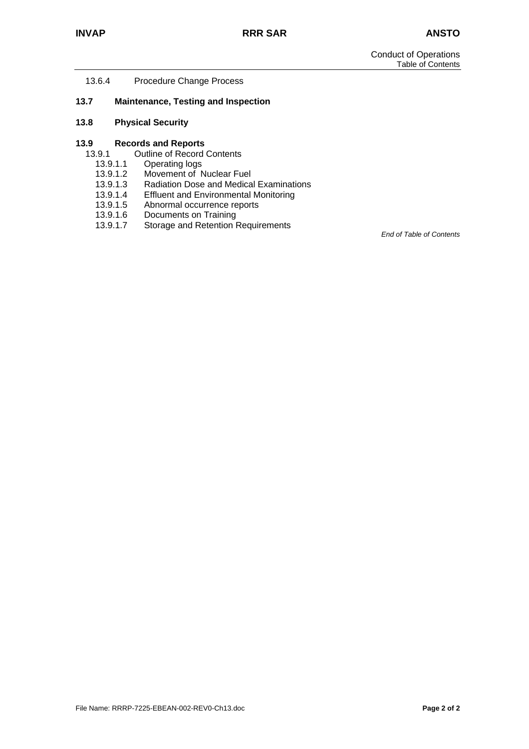13.6.4 Procedure Change Process

#### **13.7 Maintenance, Testing and Inspection**

#### **13.8 Physical Security**

# **13.9 Records and Reports**

- Outline of Record Contents
- 13.9.1.1 Operating logs
- 13.9.1.2 Movement of Nuclear Fuel<br>13.9.1.3 Radiation Dose and Medica
- Radiation Dose and Medical Examinations
- 13.9.1.4 Effluent and Environmental Monitoring
- 13.9.1.5 Abnormal occurrence reports
- 13.9.1.6 Documents on Training
- 13.9.1.7 Storage and Retention Requirements

*End of Table of Contents*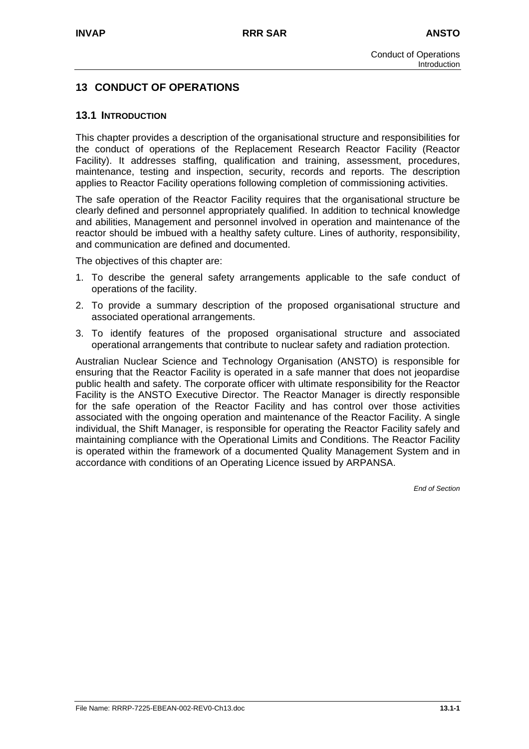# **13 CONDUCT OF OPERATIONS**

#### **13.1 INTRODUCTION**

This chapter provides a description of the organisational structure and responsibilities for the conduct of operations of the Replacement Research Reactor Facility (Reactor Facility). It addresses staffing, qualification and training, assessment, procedures, maintenance, testing and inspection, security, records and reports. The description applies to Reactor Facility operations following completion of commissioning activities.

The safe operation of the Reactor Facility requires that the organisational structure be clearly defined and personnel appropriately qualified. In addition to technical knowledge and abilities, Management and personnel involved in operation and maintenance of the reactor should be imbued with a healthy safety culture. Lines of authority, responsibility, and communication are defined and documented.

The objectives of this chapter are:

- 1. To describe the general safety arrangements applicable to the safe conduct of operations of the facility.
- 2. To provide a summary description of the proposed organisational structure and associated operational arrangements.
- 3. To identify features of the proposed organisational structure and associated operational arrangements that contribute to nuclear safety and radiation protection.

Australian Nuclear Science and Technology Organisation (ANSTO) is responsible for ensuring that the Reactor Facility is operated in a safe manner that does not jeopardise public health and safety. The corporate officer with ultimate responsibility for the Reactor Facility is the ANSTO Executive Director. The Reactor Manager is directly responsible for the safe operation of the Reactor Facility and has control over those activities associated with the ongoing operation and maintenance of the Reactor Facility. A single individual, the Shift Manager, is responsible for operating the Reactor Facility safely and maintaining compliance with the Operational Limits and Conditions. The Reactor Facility is operated within the framework of a documented Quality Management System and in accordance with conditions of an Operating Licence issued by ARPANSA.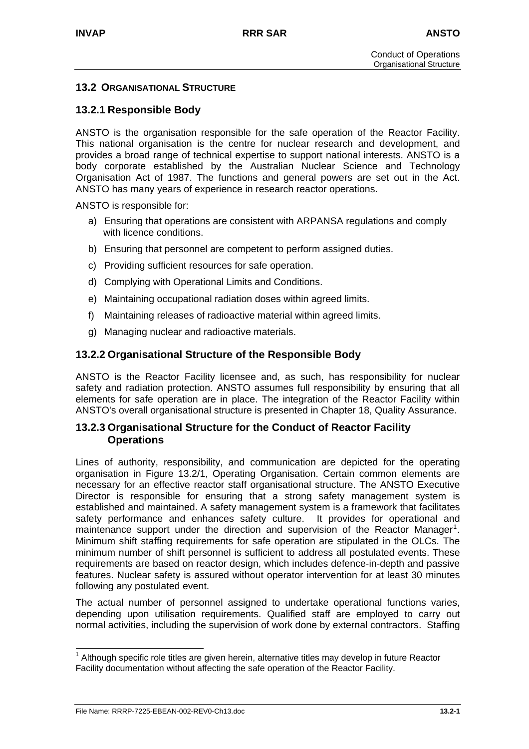# **13.2 ORGANISATIONAL STRUCTURE**

# **13.2.1 Responsible Body**

ANSTO is the organisation responsible for the safe operation of the Reactor Facility. This national organisation is the centre for nuclear research and development, and provides a broad range of technical expertise to support national interests. ANSTO is a body corporate established by the Australian Nuclear Science and Technology Organisation Act of 1987. The functions and general powers are set out in the Act. ANSTO has many years of experience in research reactor operations.

ANSTO is responsible for:

- a) Ensuring that operations are consistent with ARPANSA regulations and comply with licence conditions.
- b) Ensuring that personnel are competent to perform assigned duties.
- c) Providing sufficient resources for safe operation.
- d) Complying with Operational Limits and Conditions.
- e) Maintaining occupational radiation doses within agreed limits.
- f) Maintaining releases of radioactive material within agreed limits.
- g) Managing nuclear and radioactive materials.

# **13.2.2 Organisational Structure of the Responsible Body**

ANSTO is the Reactor Facility licensee and, as such, has responsibility for nuclear safety and radiation protection. ANSTO assumes full responsibility by ensuring that all elements for safe operation are in place. The integration of the Reactor Facility within ANSTO's overall organisational structure is presented in Chapter 18, Quality Assurance.

# **13.2.3 Organisational Structure for the Conduct of Reactor Facility Operations**

Lines of authority, responsibility, and communication are depicted for the operating organisation in Figure 13.2/1, Operating Organisation. Certain common elements are necessary for an effective reactor staff organisational structure. The ANSTO Executive Director is responsible for ensuring that a strong safety management system is established and maintained. A safety management system is a framework that facilitates safety performance and enhances safety culture. It provides for operational and maintenance support under the direction and supervision of the Reactor Manager<sup>[1](#page-5-0)</sup>. Minimum shift staffing requirements for safe operation are stipulated in the OLCs. The minimum number of shift personnel is sufficient to address all postulated events. These requirements are based on reactor design, which includes defence-in-depth and passive features. Nuclear safety is assured without operator intervention for at least 30 minutes following any postulated event.

The actual number of personnel assigned to undertake operational functions varies, depending upon utilisation requirements. Qualified staff are employed to carry out normal activities, including the supervision of work done by external contractors. Staffing

<span id="page-5-0"></span>  $1$  Although specific role titles are given herein, alternative titles may develop in future Reactor Facility documentation without affecting the safe operation of the Reactor Facility.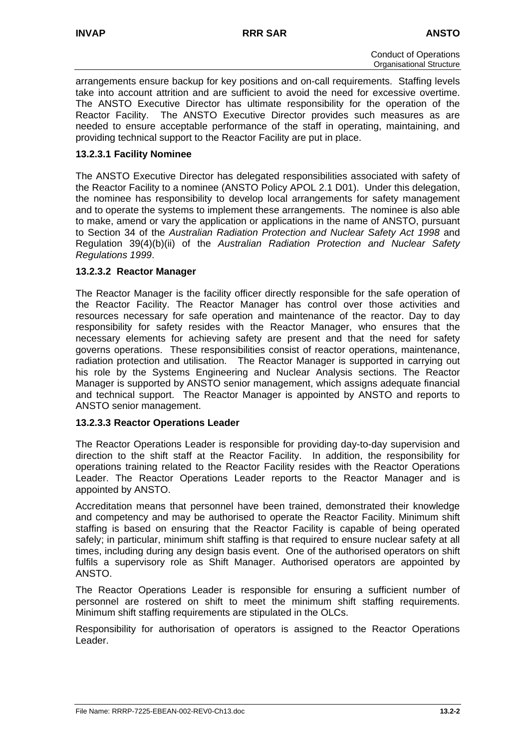arrangements ensure backup for key positions and on-call requirements. Staffing levels take into account attrition and are sufficient to avoid the need for excessive overtime. The ANSTO Executive Director has ultimate responsibility for the operation of the Reactor Facility. The ANSTO Executive Director provides such measures as are needed to ensure acceptable performance of the staff in operating, maintaining, and providing technical support to the Reactor Facility are put in place.

# **13.2.3.1 Facility Nominee**

The ANSTO Executive Director has delegated responsibilities associated with safety of the Reactor Facility to a nominee (ANSTO Policy APOL 2.1 D01). Under this delegation, the nominee has responsibility to develop local arrangements for safety management and to operate the systems to implement these arrangements. The nominee is also able to make, amend or vary the application or applications in the name of ANSTO, pursuant to Section 34 of the *Australian Radiation Protection and Nuclear Safety Act 1998* and Regulation 39(4)(b)(ii) of the *Australian Radiation Protection and Nuclear Safety Regulations 1999*.

# **13.2.3.2 Reactor Manager**

The Reactor Manager is the facility officer directly responsible for the safe operation of the Reactor Facility. The Reactor Manager has control over those activities and resources necessary for safe operation and maintenance of the reactor. Day to day responsibility for safety resides with the Reactor Manager, who ensures that the necessary elements for achieving safety are present and that the need for safety governs operations. These responsibilities consist of reactor operations, maintenance, radiation protection and utilisation. The Reactor Manager is supported in carrying out his role by the Systems Engineering and Nuclear Analysis sections. The Reactor Manager is supported by ANSTO senior management, which assigns adequate financial and technical support. The Reactor Manager is appointed by ANSTO and reports to ANSTO senior management.

# **13.2.3.3 Reactor Operations Leader**

The Reactor Operations Leader is responsible for providing day-to-day supervision and direction to the shift staff at the Reactor Facility. In addition, the responsibility for operations training related to the Reactor Facility resides with the Reactor Operations Leader. The Reactor Operations Leader reports to the Reactor Manager and is appointed by ANSTO.

Accreditation means that personnel have been trained, demonstrated their knowledge and competency and may be authorised to operate the Reactor Facility. Minimum shift staffing is based on ensuring that the Reactor Facility is capable of being operated safely; in particular, minimum shift staffing is that required to ensure nuclear safety at all times, including during any design basis event. One of the authorised operators on shift fulfils a supervisory role as Shift Manager. Authorised operators are appointed by ANSTO.

The Reactor Operations Leader is responsible for ensuring a sufficient number of personnel are rostered on shift to meet the minimum shift staffing requirements. Minimum shift staffing requirements are stipulated in the OLCs.

Responsibility for authorisation of operators is assigned to the Reactor Operations Leader.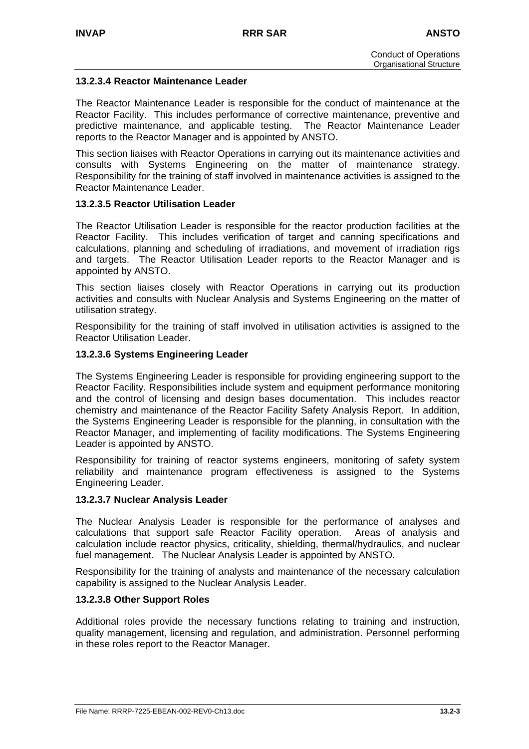# **13.2.3.4 Reactor Maintenance Leader**

The Reactor Maintenance Leader is responsible for the conduct of maintenance at the Reactor Facility. This includes performance of corrective maintenance, preventive and predictive maintenance, and applicable testing. The Reactor Maintenance Leader reports to the Reactor Manager and is appointed by ANSTO.

This section liaises with Reactor Operations in carrying out its maintenance activities and consults with Systems Engineering on the matter of maintenance strategy. Responsibility for the training of staff involved in maintenance activities is assigned to the Reactor Maintenance Leader.

# **13.2.3.5 Reactor Utilisation Leader**

The Reactor Utilisation Leader is responsible for the reactor production facilities at the Reactor Facility. This includes verification of target and canning specifications and calculations, planning and scheduling of irradiations, and movement of irradiation rigs and targets. The Reactor Utilisation Leader reports to the Reactor Manager and is appointed by ANSTO.

This section liaises closely with Reactor Operations in carrying out its production activities and consults with Nuclear Analysis and Systems Engineering on the matter of utilisation strategy.

Responsibility for the training of staff involved in utilisation activities is assigned to the Reactor Utilisation Leader.

#### **13.2.3.6 Systems Engineering Leader**

The Systems Engineering Leader is responsible for providing engineering support to the Reactor Facility. Responsibilities include system and equipment performance monitoring and the control of licensing and design bases documentation. This includes reactor chemistry and maintenance of the Reactor Facility Safety Analysis Report. In addition, the Systems Engineering Leader is responsible for the planning, in consultation with the Reactor Manager, and implementing of facility modifications. The Systems Engineering Leader is appointed by ANSTO.

Responsibility for training of reactor systems engineers, monitoring of safety system reliability and maintenance program effectiveness is assigned to the Systems Engineering Leader.

#### **13.2.3.7 Nuclear Analysis Leader**

The Nuclear Analysis Leader is responsible for the performance of analyses and calculations that support safe Reactor Facility operation. Areas of analysis and calculation include reactor physics, criticality, shielding, thermal/hydraulics, and nuclear fuel management. The Nuclear Analysis Leader is appointed by ANSTO.

Responsibility for the training of analysts and maintenance of the necessary calculation capability is assigned to the Nuclear Analysis Leader.

#### **13.2.3.8 Other Support Roles**

Additional roles provide the necessary functions relating to training and instruction, quality management, licensing and regulation, and administration. Personnel performing in these roles report to the Reactor Manager.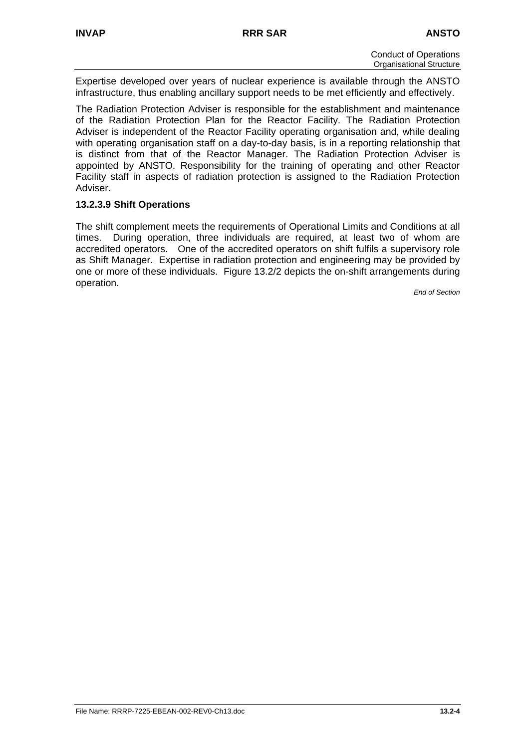Expertise developed over years of nuclear experience is available through the ANSTO infrastructure, thus enabling ancillary support needs to be met efficiently and effectively.

The Radiation Protection Adviser is responsible for the establishment and maintenance of the Radiation Protection Plan for the Reactor Facility. The Radiation Protection Adviser is independent of the Reactor Facility operating organisation and, while dealing with operating organisation staff on a day-to-day basis, is in a reporting relationship that is distinct from that of the Reactor Manager. The Radiation Protection Adviser is appointed by ANSTO. Responsibility for the training of operating and other Reactor Facility staff in aspects of radiation protection is assigned to the Radiation Protection Adviser.

# **13.2.3.9 Shift Operations**

The shift complement meets the requirements of Operational Limits and Conditions at all times. During operation, three individuals are required, at least two of whom are accredited operators. One of the accredited operators on shift fulfils a supervisory role as Shift Manager. Expertise in radiation protection and engineering may be provided by one or more of these individuals. Figure 13.2/2 depicts the on-shift arrangements during operation.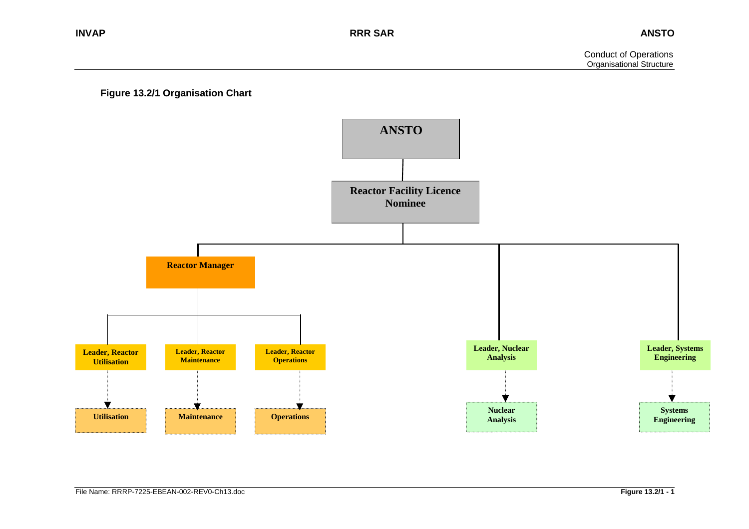

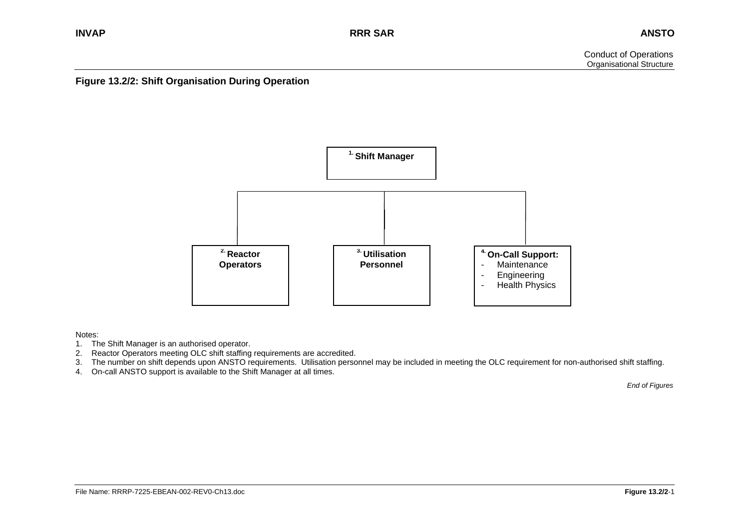**Figure 13.2/2: Shift Organisation During Operation** 



Notes:

- 1. The Shift Manager is an authorised operator.
- 2. Reactor Operators meeting OLC shift staffing requirements are accredited.
- 3. The number on shift depends upon ANSTO requirements. Utilisation personnel may be included in meeting the OLC requirement for non-authorised shift staffing.
- 4. On-call ANSTO support is available to the Shift Manager at all times.

*End of Figures*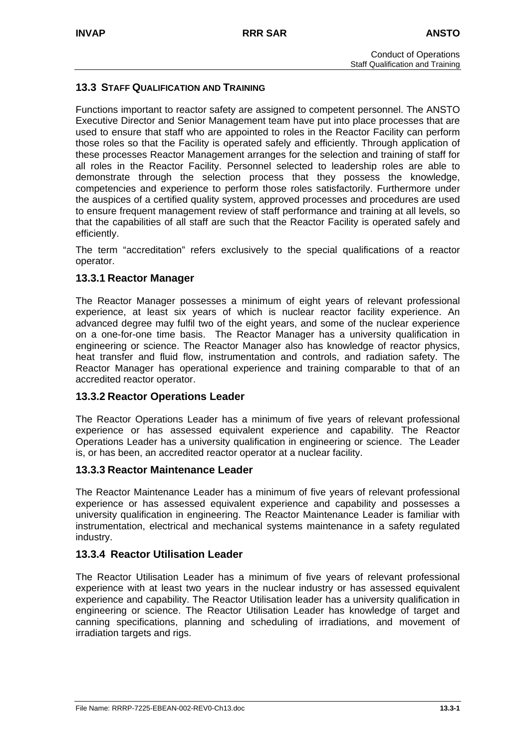# **13.3 STAFF QUALIFICATION AND TRAINING**

Functions important to reactor safety are assigned to competent personnel. The ANSTO Executive Director and Senior Management team have put into place processes that are used to ensure that staff who are appointed to roles in the Reactor Facility can perform those roles so that the Facility is operated safely and efficiently. Through application of these processes Reactor Management arranges for the selection and training of staff for all roles in the Reactor Facility. Personnel selected to leadership roles are able to demonstrate through the selection process that they possess the knowledge, competencies and experience to perform those roles satisfactorily. Furthermore under the auspices of a certified quality system, approved processes and procedures are used to ensure frequent management review of staff performance and training at all levels, so that the capabilities of all staff are such that the Reactor Facility is operated safely and efficiently.

The term "accreditation" refers exclusively to the special qualifications of a reactor operator.

# **13.3.1 Reactor Manager**

The Reactor Manager possesses a minimum of eight years of relevant professional experience, at least six years of which is nuclear reactor facility experience. An advanced degree may fulfil two of the eight years, and some of the nuclear experience on a one-for-one time basis. The Reactor Manager has a university qualification in engineering or science. The Reactor Manager also has knowledge of reactor physics, heat transfer and fluid flow, instrumentation and controls, and radiation safety. The Reactor Manager has operational experience and training comparable to that of an accredited reactor operator.

# **13.3.2 Reactor Operations Leader**

The Reactor Operations Leader has a minimum of five years of relevant professional experience or has assessed equivalent experience and capability. The Reactor Operations Leader has a university qualification in engineering or science. The Leader is, or has been, an accredited reactor operator at a nuclear facility.

#### **13.3.3 Reactor Maintenance Leader**

The Reactor Maintenance Leader has a minimum of five years of relevant professional experience or has assessed equivalent experience and capability and possesses a university qualification in engineering. The Reactor Maintenance Leader is familiar with instrumentation, electrical and mechanical systems maintenance in a safety regulated industry.

# **13.3.4 Reactor Utilisation Leader**

The Reactor Utilisation Leader has a minimum of five years of relevant professional experience with at least two years in the nuclear industry or has assessed equivalent experience and capability. The Reactor Utilisation leader has a university qualification in engineering or science. The Reactor Utilisation Leader has knowledge of target and canning specifications, planning and scheduling of irradiations, and movement of irradiation targets and rigs.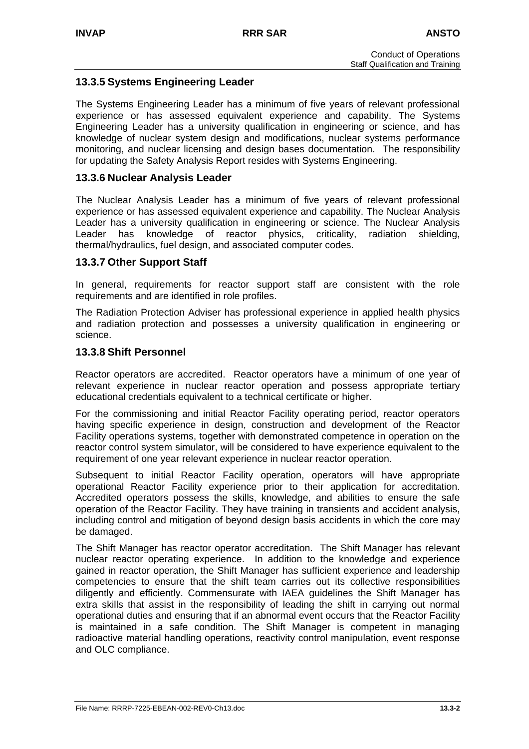# **13.3.5 Systems Engineering Leader**

The Systems Engineering Leader has a minimum of five years of relevant professional experience or has assessed equivalent experience and capability. The Systems Engineering Leader has a university qualification in engineering or science, and has knowledge of nuclear system design and modifications, nuclear systems performance monitoring, and nuclear licensing and design bases documentation. The responsibility for updating the Safety Analysis Report resides with Systems Engineering.

# **13.3.6 Nuclear Analysis Leader**

The Nuclear Analysis Leader has a minimum of five years of relevant professional experience or has assessed equivalent experience and capability. The Nuclear Analysis Leader has a university qualification in engineering or science. The Nuclear Analysis Leader has knowledge of reactor physics, criticality, radiation shielding, thermal/hydraulics, fuel design, and associated computer codes.

# **13.3.7 Other Support Staff**

In general, requirements for reactor support staff are consistent with the role requirements and are identified in role profiles.

The Radiation Protection Adviser has professional experience in applied health physics and radiation protection and possesses a university qualification in engineering or science.

# **13.3.8 Shift Personnel**

Reactor operators are accredited. Reactor operators have a minimum of one year of relevant experience in nuclear reactor operation and possess appropriate tertiary educational credentials equivalent to a technical certificate or higher.

For the commissioning and initial Reactor Facility operating period, reactor operators having specific experience in design, construction and development of the Reactor Facility operations systems, together with demonstrated competence in operation on the reactor control system simulator, will be considered to have experience equivalent to the requirement of one year relevant experience in nuclear reactor operation.

Subsequent to initial Reactor Facility operation, operators will have appropriate operational Reactor Facility experience prior to their application for accreditation. Accredited operators possess the skills, knowledge, and abilities to ensure the safe operation of the Reactor Facility. They have training in transients and accident analysis, including control and mitigation of beyond design basis accidents in which the core may be damaged.

The Shift Manager has reactor operator accreditation. The Shift Manager has relevant nuclear reactor operating experience. In addition to the knowledge and experience gained in reactor operation, the Shift Manager has sufficient experience and leadership competencies to ensure that the shift team carries out its collective responsibilities diligently and efficiently. Commensurate with IAEA guidelines the Shift Manager has extra skills that assist in the responsibility of leading the shift in carrying out normal operational duties and ensuring that if an abnormal event occurs that the Reactor Facility is maintained in a safe condition. The Shift Manager is competent in managing radioactive material handling operations, reactivity control manipulation, event response and OLC compliance.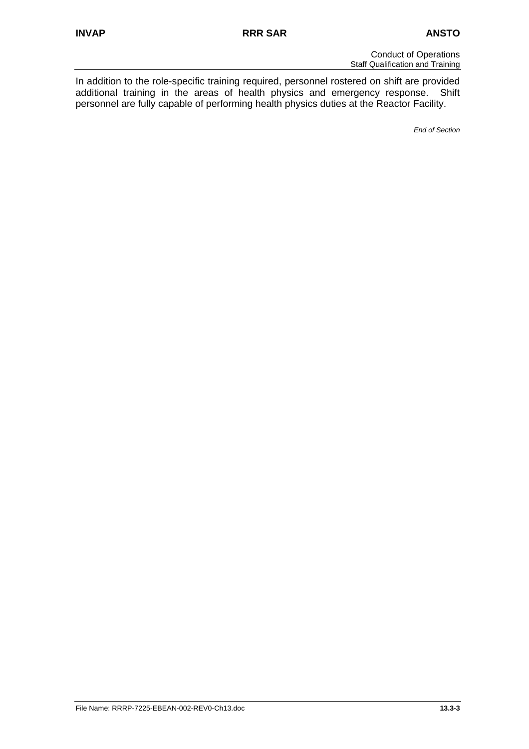Conduct of Operations Staff Qualification and Training

In addition to the role-specific training required, personnel rostered on shift are provided additional training in the areas of health physics and emergency response. Shift personnel are fully capable of performing health physics duties at the Reactor Facility.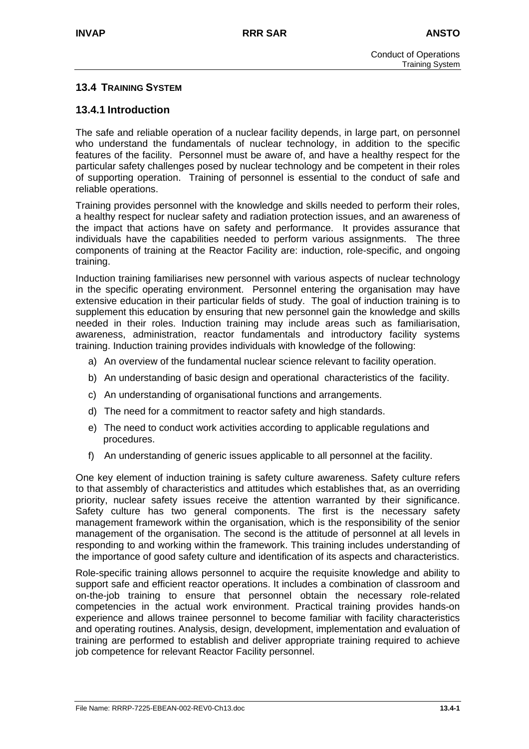# **13.4 TRAINING SYSTEM**

# **13.4.1 Introduction**

The safe and reliable operation of a nuclear facility depends, in large part, on personnel who understand the fundamentals of nuclear technology, in addition to the specific features of the facility. Personnel must be aware of, and have a healthy respect for the particular safety challenges posed by nuclear technology and be competent in their roles of supporting operation. Training of personnel is essential to the conduct of safe and reliable operations.

Training provides personnel with the knowledge and skills needed to perform their roles, a healthy respect for nuclear safety and radiation protection issues, and an awareness of the impact that actions have on safety and performance. It provides assurance that individuals have the capabilities needed to perform various assignments. The three components of training at the Reactor Facility are: induction, role-specific, and ongoing training.

Induction training familiarises new personnel with various aspects of nuclear technology in the specific operating environment. Personnel entering the organisation may have extensive education in their particular fields of study. The goal of induction training is to supplement this education by ensuring that new personnel gain the knowledge and skills needed in their roles. Induction training may include areas such as familiarisation, awareness, administration, reactor fundamentals and introductory facility systems training. Induction training provides individuals with knowledge of the following:

- a) An overview of the fundamental nuclear science relevant to facility operation.
- b) An understanding of basic design and operational characteristics of the facility.
- c) An understanding of organisational functions and arrangements.
- d) The need for a commitment to reactor safety and high standards.
- e) The need to conduct work activities according to applicable regulations and procedures.
- f) An understanding of generic issues applicable to all personnel at the facility.

One key element of induction training is safety culture awareness. Safety culture refers to that assembly of characteristics and attitudes which establishes that, as an overriding priority, nuclear safety issues receive the attention warranted by their significance. Safety culture has two general components. The first is the necessary safety management framework within the organisation, which is the responsibility of the senior management of the organisation. The second is the attitude of personnel at all levels in responding to and working within the framework. This training includes understanding of the importance of good safety culture and identification of its aspects and characteristics.

Role-specific training allows personnel to acquire the requisite knowledge and ability to support safe and efficient reactor operations. It includes a combination of classroom and on-the-job training to ensure that personnel obtain the necessary role-related competencies in the actual work environment. Practical training provides hands-on experience and allows trainee personnel to become familiar with facility characteristics and operating routines. Analysis, design, development, implementation and evaluation of training are performed to establish and deliver appropriate training required to achieve job competence for relevant Reactor Facility personnel.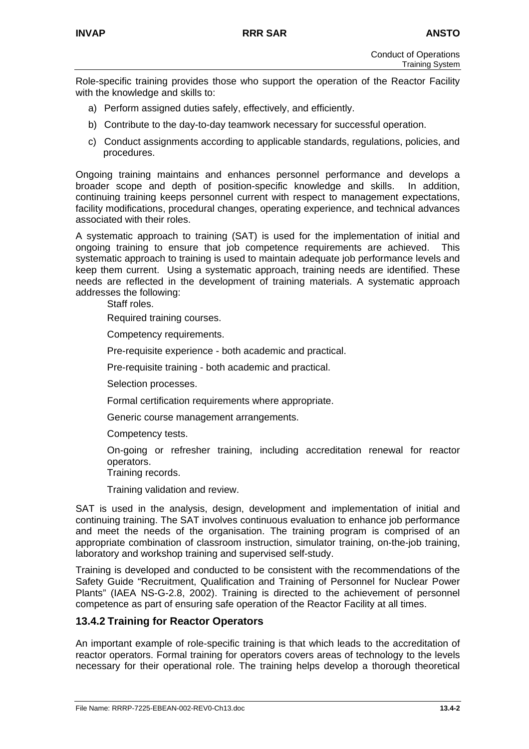Role-specific training provides those who support the operation of the Reactor Facility with the knowledge and skills to:

- a) Perform assigned duties safely, effectively, and efficiently.
- b) Contribute to the day-to-day teamwork necessary for successful operation.
- c) Conduct assignments according to applicable standards, regulations, policies, and procedures.

Ongoing training maintains and enhances personnel performance and develops a broader scope and depth of position-specific knowledge and skills. In addition, continuing training keeps personnel current with respect to management expectations, facility modifications, procedural changes, operating experience, and technical advances associated with their roles.

A systematic approach to training (SAT) is used for the implementation of initial and ongoing training to ensure that job competence requirements are achieved. This systematic approach to training is used to maintain adequate job performance levels and keep them current. Using a systematic approach, training needs are identified. These needs are reflected in the development of training materials. A systematic approach addresses the following:

Staff roles.

Required training courses.

Competency requirements.

Pre-requisite experience - both academic and practical.

Pre-requisite training - both academic and practical.

Selection processes.

Formal certification requirements where appropriate.

Generic course management arrangements.

Competency tests.

On-going or refresher training, including accreditation renewal for reactor operators.

Training records.

Training validation and review.

SAT is used in the analysis, design, development and implementation of initial and continuing training. The SAT involves continuous evaluation to enhance job performance and meet the needs of the organisation. The training program is comprised of an appropriate combination of classroom instruction, simulator training, on-the-job training, laboratory and workshop training and supervised self-study.

Training is developed and conducted to be consistent with the recommendations of the Safety Guide "Recruitment, Qualification and Training of Personnel for Nuclear Power Plants" (IAEA NS-G-2.8, 2002). Training is directed to the achievement of personnel competence as part of ensuring safe operation of the Reactor Facility at all times.

# **13.4.2 Training for Reactor Operators**

An important example of role-specific training is that which leads to the accreditation of reactor operators. Formal training for operators covers areas of technology to the levels necessary for their operational role. The training helps develop a thorough theoretical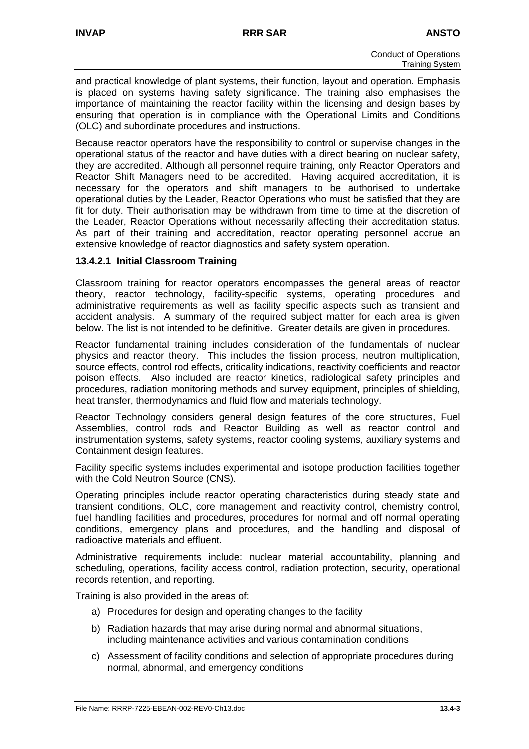and practical knowledge of plant systems, their function, layout and operation. Emphasis is placed on systems having safety significance. The training also emphasises the importance of maintaining the reactor facility within the licensing and design bases by ensuring that operation is in compliance with the Operational Limits and Conditions (OLC) and subordinate procedures and instructions.

Because reactor operators have the responsibility to control or supervise changes in the operational status of the reactor and have duties with a direct bearing on nuclear safety, they are accredited. Although all personnel require training, only Reactor Operators and Reactor Shift Managers need to be accredited. Having acquired accreditation, it is necessary for the operators and shift managers to be authorised to undertake operational duties by the Leader, Reactor Operations who must be satisfied that they are fit for duty. Their authorisation may be withdrawn from time to time at the discretion of the Leader, Reactor Operations without necessarily affecting their accreditation status. As part of their training and accreditation, reactor operating personnel accrue an extensive knowledge of reactor diagnostics and safety system operation.

# **13.4.2.1 Initial Classroom Training**

Classroom training for reactor operators encompasses the general areas of reactor theory, reactor technology, facility-specific systems, operating procedures and administrative requirements as well as facility specific aspects such as transient and accident analysis. A summary of the required subject matter for each area is given below. The list is not intended to be definitive. Greater details are given in procedures.

Reactor fundamental training includes consideration of the fundamentals of nuclear physics and reactor theory. This includes the fission process, neutron multiplication, source effects, control rod effects, criticality indications, reactivity coefficients and reactor poison effects. Also included are reactor kinetics, radiological safety principles and procedures, radiation monitoring methods and survey equipment, principles of shielding, heat transfer, thermodynamics and fluid flow and materials technology.

Reactor Technology considers general design features of the core structures, Fuel Assemblies, control rods and Reactor Building as well as reactor control and instrumentation systems, safety systems, reactor cooling systems, auxiliary systems and Containment design features.

Facility specific systems includes experimental and isotope production facilities together with the Cold Neutron Source (CNS).

Operating principles include reactor operating characteristics during steady state and transient conditions, OLC, core management and reactivity control, chemistry control, fuel handling facilities and procedures, procedures for normal and off normal operating conditions, emergency plans and procedures, and the handling and disposal of radioactive materials and effluent.

Administrative requirements include: nuclear material accountability, planning and scheduling, operations, facility access control, radiation protection, security, operational records retention, and reporting.

Training is also provided in the areas of:

- a) Procedures for design and operating changes to the facility
- b) Radiation hazards that may arise during normal and abnormal situations, including maintenance activities and various contamination conditions
- c) Assessment of facility conditions and selection of appropriate procedures during normal, abnormal, and emergency conditions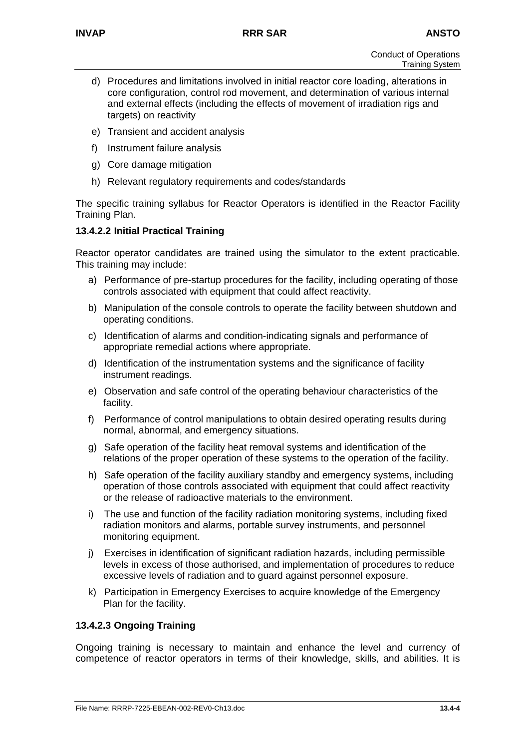- d) Procedures and limitations involved in initial reactor core loading, alterations in core configuration, control rod movement, and determination of various internal and external effects (including the effects of movement of irradiation rigs and targets) on reactivity
- e) Transient and accident analysis
- f) Instrument failure analysis
- g) Core damage mitigation
- h) Relevant regulatory requirements and codes/standards

The specific training syllabus for Reactor Operators is identified in the Reactor Facility Training Plan.

# **13.4.2.2 Initial Practical Training**

Reactor operator candidates are trained using the simulator to the extent practicable. This training may include:

- a) Performance of pre-startup procedures for the facility, including operating of those controls associated with equipment that could affect reactivity.
- b) Manipulation of the console controls to operate the facility between shutdown and operating conditions.
- c) Identification of alarms and condition-indicating signals and performance of appropriate remedial actions where appropriate.
- d) Identification of the instrumentation systems and the significance of facility instrument readings.
- e) Observation and safe control of the operating behaviour characteristics of the facility.
- f) Performance of control manipulations to obtain desired operating results during normal, abnormal, and emergency situations.
- g) Safe operation of the facility heat removal systems and identification of the relations of the proper operation of these systems to the operation of the facility.
- h) Safe operation of the facility auxiliary standby and emergency systems, including operation of those controls associated with equipment that could affect reactivity or the release of radioactive materials to the environment.
- i) The use and function of the facility radiation monitoring systems, including fixed radiation monitors and alarms, portable survey instruments, and personnel monitoring equipment.
- j) Exercises in identification of significant radiation hazards, including permissible levels in excess of those authorised, and implementation of procedures to reduce excessive levels of radiation and to guard against personnel exposure.
- k) Participation in Emergency Exercises to acquire knowledge of the Emergency Plan for the facility.

#### **13.4.2.3 Ongoing Training**

Ongoing training is necessary to maintain and enhance the level and currency of competence of reactor operators in terms of their knowledge, skills, and abilities. It is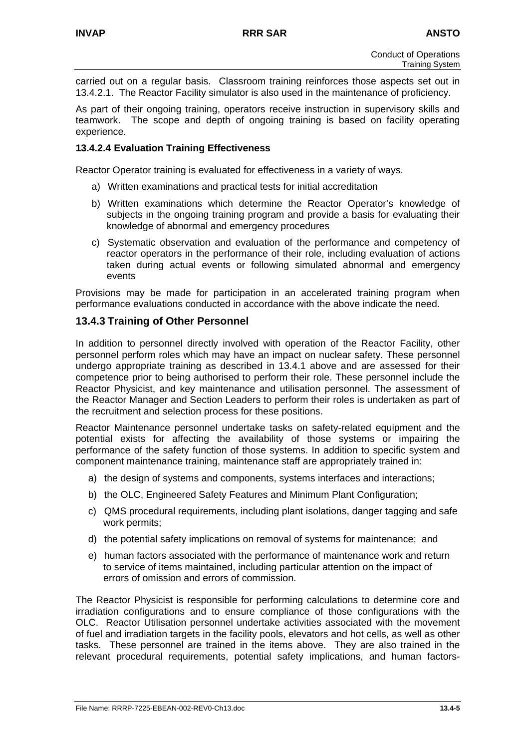carried out on a regular basis. Classroom training reinforces those aspects set out in 13.4.2.1. The Reactor Facility simulator is also used in the maintenance of proficiency.

As part of their ongoing training, operators receive instruction in supervisory skills and teamwork. The scope and depth of ongoing training is based on facility operating experience.

#### **13.4.2.4 Evaluation Training Effectiveness**

Reactor Operator training is evaluated for effectiveness in a variety of ways.

- a) Written examinations and practical tests for initial accreditation
- b) Written examinations which determine the Reactor Operator's knowledge of subjects in the ongoing training program and provide a basis for evaluating their knowledge of abnormal and emergency procedures
- c) Systematic observation and evaluation of the performance and competency of reactor operators in the performance of their role, including evaluation of actions taken during actual events or following simulated abnormal and emergency events

Provisions may be made for participation in an accelerated training program when performance evaluations conducted in accordance with the above indicate the need.

# **13.4.3 Training of Other Personnel**

In addition to personnel directly involved with operation of the Reactor Facility, other personnel perform roles which may have an impact on nuclear safety. These personnel undergo appropriate training as described in 13.4.1 above and are assessed for their competence prior to being authorised to perform their role. These personnel include the Reactor Physicist, and key maintenance and utilisation personnel. The assessment of the Reactor Manager and Section Leaders to perform their roles is undertaken as part of the recruitment and selection process for these positions.

Reactor Maintenance personnel undertake tasks on safety-related equipment and the potential exists for affecting the availability of those systems or impairing the performance of the safety function of those systems. In addition to specific system and component maintenance training, maintenance staff are appropriately trained in:

- a) the design of systems and components, systems interfaces and interactions;
- b) the OLC, Engineered Safety Features and Minimum Plant Configuration;
- c) QMS procedural requirements, including plant isolations, danger tagging and safe work permits;
- d) the potential safety implications on removal of systems for maintenance; and
- e) human factors associated with the performance of maintenance work and return to service of items maintained, including particular attention on the impact of errors of omission and errors of commission.

The Reactor Physicist is responsible for performing calculations to determine core and irradiation configurations and to ensure compliance of those configurations with the OLC. Reactor Utilisation personnel undertake activities associated with the movement of fuel and irradiation targets in the facility pools, elevators and hot cells, as well as other tasks. These personnel are trained in the items above. They are also trained in the relevant procedural requirements, potential safety implications, and human factors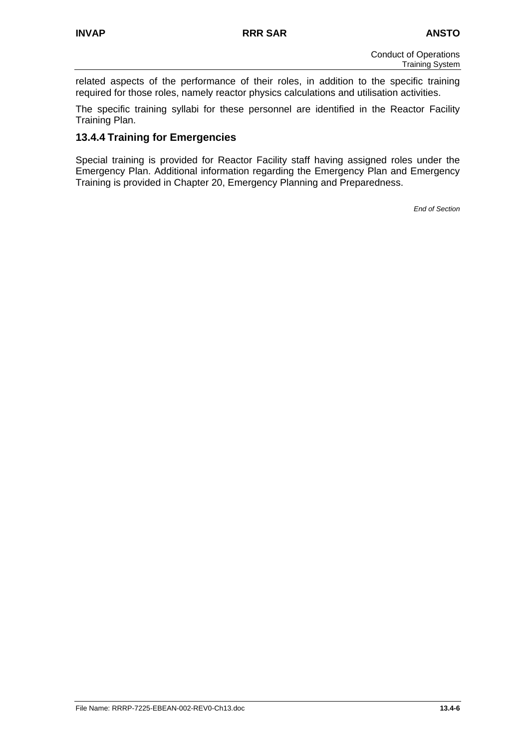related aspects of the performance of their roles, in addition to the specific training required for those roles, namely reactor physics calculations and utilisation activities.

The specific training syllabi for these personnel are identified in the Reactor Facility Training Plan.

# **13.4.4 Training for Emergencies**

Special training is provided for Reactor Facility staff having assigned roles under the Emergency Plan. Additional information regarding the Emergency Plan and Emergency Training is provided in Chapter 20, Emergency Planning and Preparedness.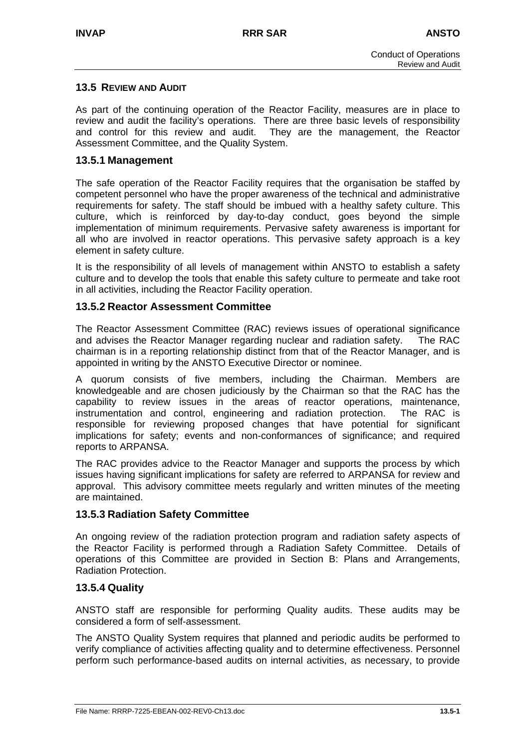# **13.5 REVIEW AND AUDIT**

As part of the continuing operation of the Reactor Facility, measures are in place to review and audit the facility's operations. There are three basic levels of responsibility and control for this review and audit. They are the management, the Reactor Assessment Committee, and the Quality System.

# **13.5.1 Management**

The safe operation of the Reactor Facility requires that the organisation be staffed by competent personnel who have the proper awareness of the technical and administrative requirements for safety. The staff should be imbued with a healthy safety culture. This culture, which is reinforced by day-to-day conduct, goes beyond the simple implementation of minimum requirements. Pervasive safety awareness is important for all who are involved in reactor operations. This pervasive safety approach is a key element in safety culture.

It is the responsibility of all levels of management within ANSTO to establish a safety culture and to develop the tools that enable this safety culture to permeate and take root in all activities, including the Reactor Facility operation.

# **13.5.2 Reactor Assessment Committee**

The Reactor Assessment Committee (RAC) reviews issues of operational significance and advises the Reactor Manager regarding nuclear and radiation safety. The RAC chairman is in a reporting relationship distinct from that of the Reactor Manager, and is appointed in writing by the ANSTO Executive Director or nominee.

A quorum consists of five members, including the Chairman. Members are knowledgeable and are chosen judiciously by the Chairman so that the RAC has the capability to review issues in the areas of reactor operations, maintenance, instrumentation and control, engineering and radiation protection. The RAC is responsible for reviewing proposed changes that have potential for significant implications for safety; events and non-conformances of significance; and required reports to ARPANSA.

The RAC provides advice to the Reactor Manager and supports the process by which issues having significant implications for safety are referred to ARPANSA for review and approval. This advisory committee meets regularly and written minutes of the meeting are maintained.

# **13.5.3 Radiation Safety Committee**

An ongoing review of the radiation protection program and radiation safety aspects of the Reactor Facility is performed through a Radiation Safety Committee. Details of operations of this Committee are provided in Section B: Plans and Arrangements, Radiation Protection.

# **13.5.4 Quality**

ANSTO staff are responsible for performing Quality audits. These audits may be considered a form of self-assessment.

The ANSTO Quality System requires that planned and periodic audits be performed to verify compliance of activities affecting quality and to determine effectiveness. Personnel perform such performance-based audits on internal activities, as necessary, to provide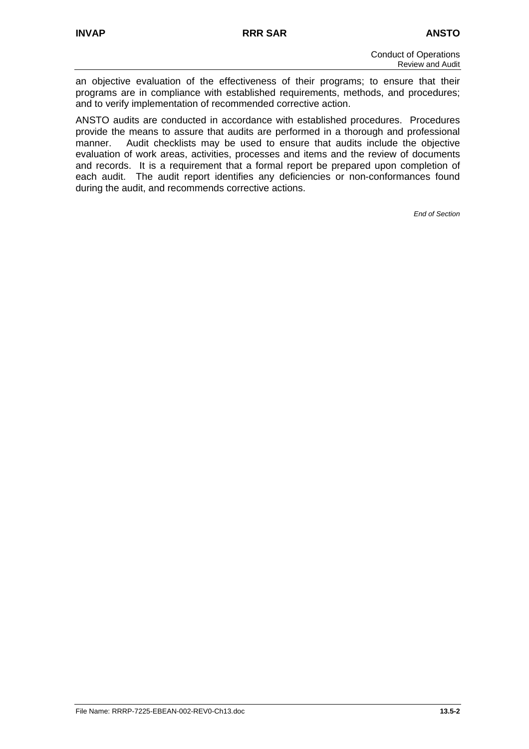an objective evaluation of the effectiveness of their programs; to ensure that their programs are in compliance with established requirements, methods, and procedures; and to verify implementation of recommended corrective action.

ANSTO audits are conducted in accordance with established procedures. Procedures provide the means to assure that audits are performed in a thorough and professional manner. Audit checklists may be used to ensure that audits include the objective evaluation of work areas, activities, processes and items and the review of documents and records. It is a requirement that a formal report be prepared upon completion of each audit. The audit report identifies any deficiencies or non-conformances found during the audit, and recommends corrective actions.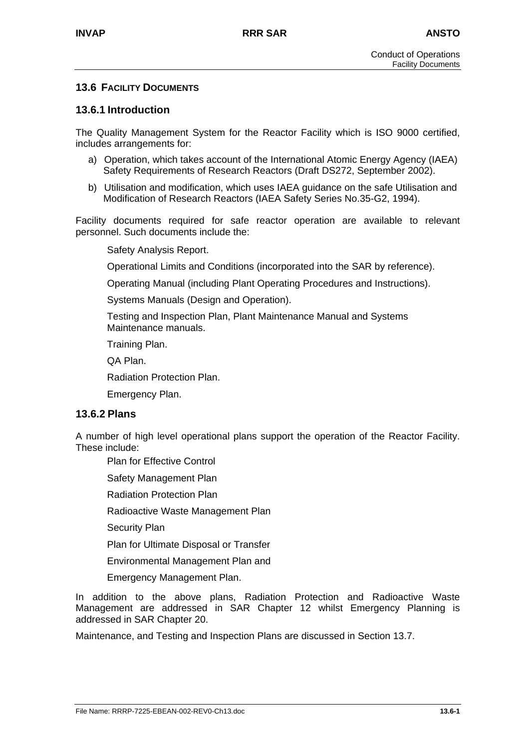# **13.6 FACILITY DOCUMENTS**

# **13.6.1 Introduction**

The Quality Management System for the Reactor Facility which is ISO 9000 certified, includes arrangements for:

- a) Operation, which takes account of the International Atomic Energy Agency (IAEA) Safety Requirements of Research Reactors (Draft DS272, September 2002).
- b) Utilisation and modification, which uses IAEA guidance on the safe Utilisation and Modification of Research Reactors (IAEA Safety Series No.35-G2, 1994).

Facility documents required for safe reactor operation are available to relevant personnel. Such documents include the:

Safety Analysis Report.

Operational Limits and Conditions (incorporated into the SAR by reference).

Operating Manual (including Plant Operating Procedures and Instructions).

Systems Manuals (Design and Operation).

Testing and Inspection Plan, Plant Maintenance Manual and Systems Maintenance manuals.

Training Plan.

QA Plan.

Radiation Protection Plan.

Emergency Plan.

#### **13.6.2 Plans**

A number of high level operational plans support the operation of the Reactor Facility. These include:

Plan for Effective Control

Safety Management Plan

Radiation Protection Plan

Radioactive Waste Management Plan

Security Plan

Plan for Ultimate Disposal or Transfer

Environmental Management Plan and

Emergency Management Plan.

In addition to the above plans, Radiation Protection and Radioactive Waste Management are addressed in SAR Chapter 12 whilst Emergency Planning is addressed in SAR Chapter 20.

Maintenance, and Testing and Inspection Plans are discussed in Section 13.7.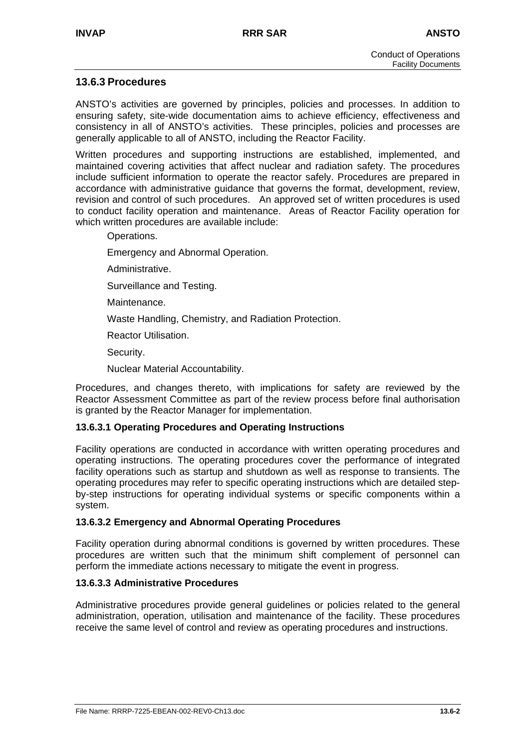# **13.6.3 Procedures**

ANSTO's activities are governed by principles, policies and processes. In addition to ensuring safety, site-wide documentation aims to achieve efficiency, effectiveness and consistency in all of ANSTO's activities. These principles, policies and processes are generally applicable to all of ANSTO, including the Reactor Facility.

Written procedures and supporting instructions are established, implemented, and maintained covering activities that affect nuclear and radiation safety. The procedures include sufficient information to operate the reactor safely. Procedures are prepared in accordance with administrative guidance that governs the format, development, review, revision and control of such procedures. An approved set of written procedures is used to conduct facility operation and maintenance. Areas of Reactor Facility operation for which written procedures are available include:

Operations.

Emergency and Abnormal Operation.

Administrative.

Surveillance and Testing.

Maintenance.

Waste Handling, Chemistry, and Radiation Protection.

Reactor Utilisation.

Security.

Nuclear Material Accountability.

Procedures, and changes thereto, with implications for safety are reviewed by the Reactor Assessment Committee as part of the review process before final authorisation is granted by the Reactor Manager for implementation.

#### **13.6.3.1 Operating Procedures and Operating Instructions**

Facility operations are conducted in accordance with written operating procedures and operating instructions. The operating procedures cover the performance of integrated facility operations such as startup and shutdown as well as response to transients. The operating procedures may refer to specific operating instructions which are detailed stepby-step instructions for operating individual systems or specific components within a system.

#### **13.6.3.2 Emergency and Abnormal Operating Procedures**

Facility operation during abnormal conditions is governed by written procedures. These procedures are written such that the minimum shift complement of personnel can perform the immediate actions necessary to mitigate the event in progress.

#### **13.6.3.3 Administrative Procedures**

Administrative procedures provide general guidelines or policies related to the general administration, operation, utilisation and maintenance of the facility. These procedures receive the same level of control and review as operating procedures and instructions.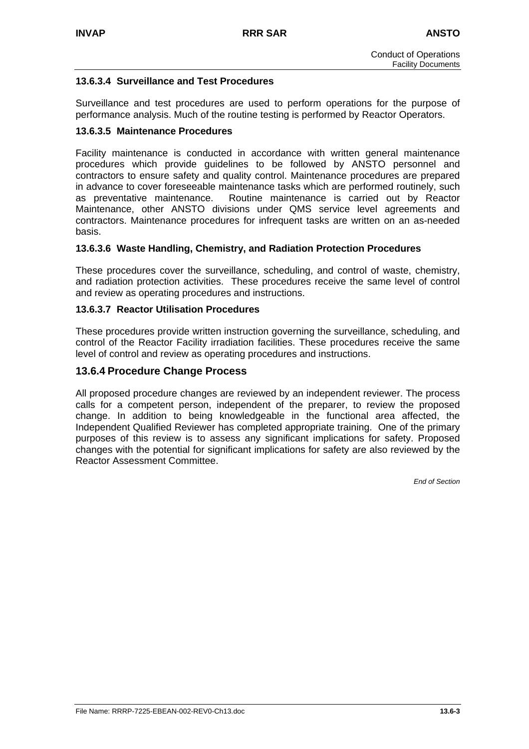# **13.6.3.4 Surveillance and Test Procedures**

Surveillance and test procedures are used to perform operations for the purpose of performance analysis. Much of the routine testing is performed by Reactor Operators.

#### **13.6.3.5 Maintenance Procedures**

Facility maintenance is conducted in accordance with written general maintenance procedures which provide guidelines to be followed by ANSTO personnel and contractors to ensure safety and quality control. Maintenance procedures are prepared in advance to cover foreseeable maintenance tasks which are performed routinely, such as preventative maintenance. Routine maintenance is carried out by Reactor Maintenance, other ANSTO divisions under QMS service level agreements and contractors. Maintenance procedures for infrequent tasks are written on an as-needed basis.

#### **13.6.3.6 Waste Handling, Chemistry, and Radiation Protection Procedures**

These procedures cover the surveillance, scheduling, and control of waste, chemistry, and radiation protection activities. These procedures receive the same level of control and review as operating procedures and instructions.

#### **13.6.3.7 Reactor Utilisation Procedures**

These procedures provide written instruction governing the surveillance, scheduling, and control of the Reactor Facility irradiation facilities. These procedures receive the same level of control and review as operating procedures and instructions.

#### **13.6.4 Procedure Change Process**

All proposed procedure changes are reviewed by an independent reviewer. The process calls for a competent person, independent of the preparer, to review the proposed change. In addition to being knowledgeable in the functional area affected, the Independent Qualified Reviewer has completed appropriate training. One of the primary purposes of this review is to assess any significant implications for safety. Proposed changes with the potential for significant implications for safety are also reviewed by the Reactor Assessment Committee.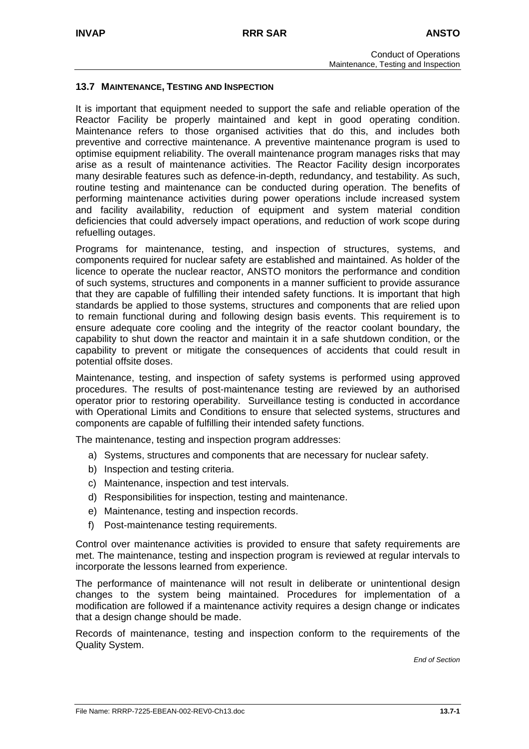#### **13.7 MAINTENANCE, TESTING AND INSPECTION**

It is important that equipment needed to support the safe and reliable operation of the Reactor Facility be properly maintained and kept in good operating condition. Maintenance refers to those organised activities that do this, and includes both preventive and corrective maintenance. A preventive maintenance program is used to optimise equipment reliability. The overall maintenance program manages risks that may arise as a result of maintenance activities. The Reactor Facility design incorporates many desirable features such as defence-in-depth, redundancy, and testability. As such, routine testing and maintenance can be conducted during operation. The benefits of performing maintenance activities during power operations include increased system and facility availability, reduction of equipment and system material condition deficiencies that could adversely impact operations, and reduction of work scope during refuelling outages.

Programs for maintenance, testing, and inspection of structures, systems, and components required for nuclear safety are established and maintained. As holder of the licence to operate the nuclear reactor, ANSTO monitors the performance and condition of such systems, structures and components in a manner sufficient to provide assurance that they are capable of fulfilling their intended safety functions. It is important that high standards be applied to those systems, structures and components that are relied upon to remain functional during and following design basis events. This requirement is to ensure adequate core cooling and the integrity of the reactor coolant boundary, the capability to shut down the reactor and maintain it in a safe shutdown condition, or the capability to prevent or mitigate the consequences of accidents that could result in potential offsite doses.

Maintenance, testing, and inspection of safety systems is performed using approved procedures. The results of post-maintenance testing are reviewed by an authorised operator prior to restoring operability. Surveillance testing is conducted in accordance with Operational Limits and Conditions to ensure that selected systems, structures and components are capable of fulfilling their intended safety functions.

The maintenance, testing and inspection program addresses:

- a) Systems, structures and components that are necessary for nuclear safety.
- b) Inspection and testing criteria.
- c) Maintenance, inspection and test intervals.
- d) Responsibilities for inspection, testing and maintenance.
- e) Maintenance, testing and inspection records.
- f) Post-maintenance testing requirements.

Control over maintenance activities is provided to ensure that safety requirements are met. The maintenance, testing and inspection program is reviewed at regular intervals to incorporate the lessons learned from experience.

The performance of maintenance will not result in deliberate or unintentional design changes to the system being maintained. Procedures for implementation of a modification are followed if a maintenance activity requires a design change or indicates that a design change should be made.

Records of maintenance, testing and inspection conform to the requirements of the Quality System.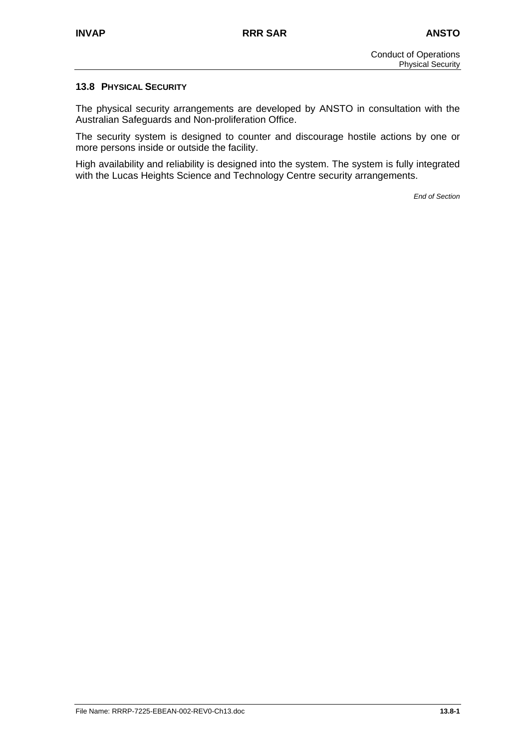#### **13.8 PHYSICAL SECURITY**

The physical security arrangements are developed by ANSTO in consultation with the Australian Safeguards and Non-proliferation Office.

The security system is designed to counter and discourage hostile actions by one or more persons inside or outside the facility.

High availability and reliability is designed into the system. The system is fully integrated with the Lucas Heights Science and Technology Centre security arrangements.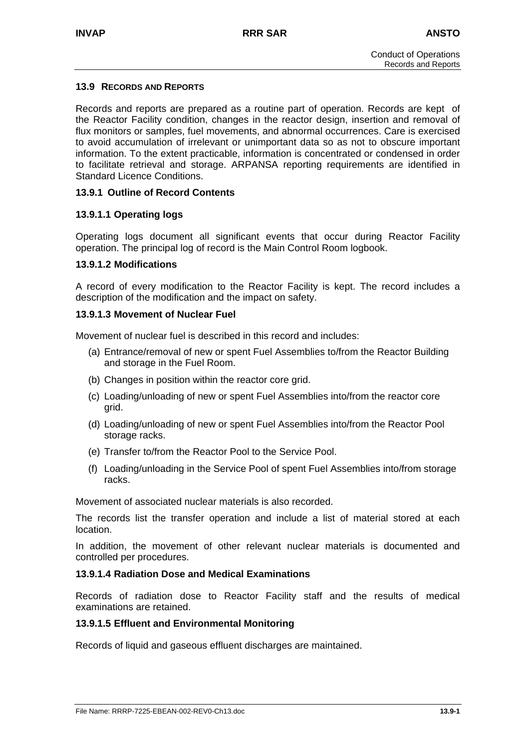#### **13.9 RECORDS AND REPORTS**

Records and reports are prepared as a routine part of operation. Records are kept of the Reactor Facility condition, changes in the reactor design, insertion and removal of flux monitors or samples, fuel movements, and abnormal occurrences. Care is exercised to avoid accumulation of irrelevant or unimportant data so as not to obscure important information. To the extent practicable, information is concentrated or condensed in order to facilitate retrieval and storage. ARPANSA reporting requirements are identified in Standard Licence Conditions.

#### **13.9.1 Outline of Record Contents**

#### **13.9.1.1 Operating logs**

Operating logs document all significant events that occur during Reactor Facility operation. The principal log of record is the Main Control Room logbook.

#### **13.9.1.2 Modifications**

A record of every modification to the Reactor Facility is kept. The record includes a description of the modification and the impact on safety.

#### **13.9.1.3 Movement of Nuclear Fuel**

Movement of nuclear fuel is described in this record and includes:

- (a) Entrance/removal of new or spent Fuel Assemblies to/from the Reactor Building and storage in the Fuel Room.
- (b) Changes in position within the reactor core grid.
- (c) Loading/unloading of new or spent Fuel Assemblies into/from the reactor core grid.
- (d) Loading/unloading of new or spent Fuel Assemblies into/from the Reactor Pool storage racks.
- (e) Transfer to/from the Reactor Pool to the Service Pool.
- (f) Loading/unloading in the Service Pool of spent Fuel Assemblies into/from storage racks.

Movement of associated nuclear materials is also recorded.

The records list the transfer operation and include a list of material stored at each location.

In addition, the movement of other relevant nuclear materials is documented and controlled per procedures.

#### **13.9.1.4 Radiation Dose and Medical Examinations**

Records of radiation dose to Reactor Facility staff and the results of medical examinations are retained.

#### **13.9.1.5 Effluent and Environmental Monitoring**

Records of liquid and gaseous effluent discharges are maintained.